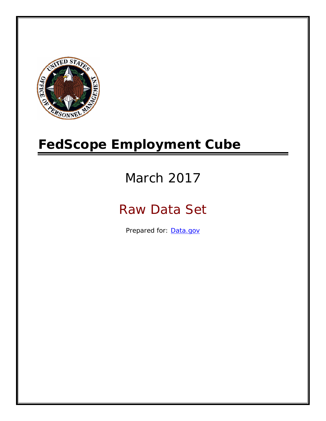

# **FedScope Employment Cube**

# March 2017

# Raw Data Set

Prepared for: [Data.gov](http://www.data.gov/)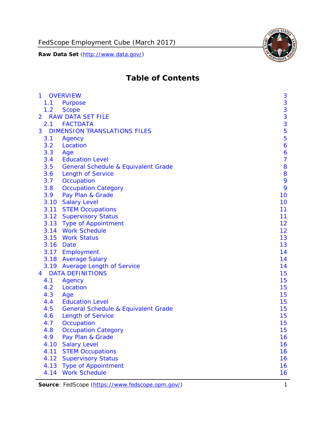

# **Table of Contents**

| $\mathbf{1}$   |      | <b>OVERVIEW</b>                                | 3              |
|----------------|------|------------------------------------------------|----------------|
|                | 1.1  | Purpose                                        | 3              |
|                | 1.2  | <b>Scope</b>                                   | 3              |
| $\overline{2}$ |      | <b>RAW DATA SET FILE</b>                       | 3              |
|                | 2.1  | <b>FACTDATA</b>                                | 3              |
| 3              |      | <b>DIMENSION TRANSLATIONS FILES</b>            | 5              |
|                | 3.1  | Agency                                         | 5              |
|                | 3.2  | Location                                       | 6              |
|                | 3.3  | Age                                            | 6              |
|                | 3.4  | <b>Education Level</b>                         | $\overline{7}$ |
|                | 3.5  | <b>General Schedule &amp; Equivalent Grade</b> | 8              |
|                | 3.6  | <b>Length of Service</b>                       | 8              |
|                | 3.7  | Occupation                                     | 9              |
|                | 3.8  | <b>Occupation Category</b>                     | 9              |
|                | 3.9  | Pay Plan & Grade                               | 10             |
|                | 3.10 | <b>Salary Level</b>                            | 10             |
|                | 3.11 | <b>STEM Occupations</b>                        | 11             |
|                |      | 3.12 Supervisory Status                        | 11             |
|                |      | 3.13 Type of Appointment                       | 12             |
|                |      | 3.14 Work Schedule                             | 12             |
|                | 3.15 | <b>Work Status</b>                             | 13             |
|                |      | 3.16 Date                                      | 13             |
|                |      | 3.17 Employment                                | 14             |
|                |      | 3.18 Average Salary                            | 14             |
|                | 3.19 | <b>Average Length of Service</b>               | 14             |
| $\overline{4}$ |      | <b>DATA DEFINITIONS</b>                        | 15             |
|                | 4.1  | Agency                                         | 15             |
|                | 4.2  | Location                                       | 15             |
|                | 4.3  | Age                                            | 15             |
|                | 4.4  | <b>Education Level</b>                         | 15             |
|                | 4.5  | <b>General Schedule &amp; Equivalent Grade</b> | 15             |
|                | 4.6  | <b>Length of Service</b>                       | 15             |
|                | 4.7  | Occupation                                     | 15             |
|                | 4.8  | <b>Occupation Category</b>                     | 15             |
|                | 4.9  | Pay Plan & Grade                               | 16             |
|                | 4.10 | <b>Salary Level</b>                            | 16             |
|                | 4.11 | <b>STEM Occupations</b>                        | 16             |
|                | 4.12 | <b>Supervisory Status</b>                      | 16             |
|                | 4.13 | <b>Type of Appointment</b>                     | 16             |
|                | 4.14 | <b>Work Schedule</b>                           | 16             |

**Source**: FedScope (https://www.fedscope.opm.gov/) 1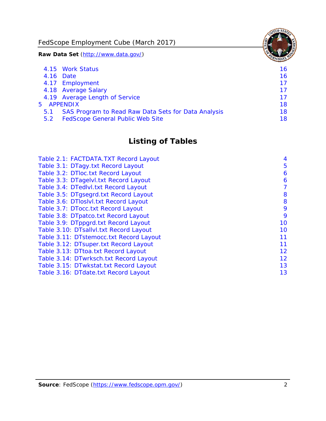FedScope Employment Cube (March 2017)

**Raw Data Set** (http://www.data.gov/)

|     | 4.15 Work Status                                    | 16 |
|-----|-----------------------------------------------------|----|
|     | 4.16 Date                                           | 16 |
|     | 4.17 Employment                                     | 17 |
|     | 4.18 Average Salary                                 | 17 |
|     | 4.19 Average Length of Service                      | 17 |
|     | 5 APPENDIX                                          | 18 |
| 5.1 | SAS Program to Read Raw Data Sets for Data Analysis | 18 |
| 5.2 | <b>FedScope General Public Web Site</b>             | 18 |

# **Listing of Tables**

| Table 2.1: FACTDATA.TXT Record Layout   | 4  |
|-----------------------------------------|----|
| Table 3.1: DTagy.txt Record Layout      | 5  |
| Table 3.2: DTloc.txt Record Layout      | 6  |
| Table 3.3: DTagelvl.txt Record Layout   | 6  |
| Table 3.4: DTedlvl.txt Record Layout    | 7  |
| Table 3.5: DTgsegrd.txt Record Layout   | 8  |
| Table 3.6: DTIoslyl.txt Record Layout   | 8  |
| Table 3.7: DTocc.txt Record Layout      | 9  |
| Table 3.8: DTpatco.txt Record Layout    | 9  |
| Table 3.9: DTppgrd.txt Record Layout    | 10 |
| Table 3.10: DTsallvl.txt Record Layout  | 10 |
| Table 3.11: DTstemocc.txt Record Layout | 11 |
| Table 3.12: DTsuper.txt Record Layout   | 11 |
| Table 3.13: DTtoa.txt Record Layout     | 12 |
| Table 3.14: DTwrksch.txt Record Layout  | 12 |
| Table 3.15: DTwkstat.txt Record Layout  | 13 |
| Table 3.16: DTdate.txt Record Layout    | 13 |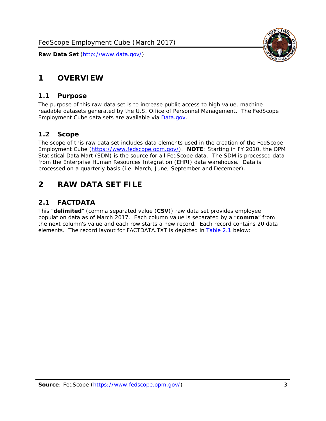

# <span id="page-3-0"></span>**1 OVERVIEW**

#### *1.1 Purpose*

<span id="page-3-1"></span>The purpose of this raw data set is to increase public access to high value, machine readable datasets generated by the U.S. Office of Personnel Management. The FedScope Employment Cube data sets are available via [Data.gov](http://www.data.gov/).

#### <span id="page-3-2"></span>*1.2 Scope*

The scope of this raw data set includes data elements used in the creation of the FedScope Employment Cube [\(https://www.fedscope.opm.gov/\)](https://www.fedscope.opm.gov/). **NOTE**: Starting in FY 2010, the OPM Statistical Data Mart (SDM) is the source for all FedScope data. The SDM is processed data from the Enterprise Human Resources Integration (EHRI) data warehouse. Data is processed on a quarterly basis (i.e. March, June, September and December).

# <span id="page-3-3"></span>**2 RAW DATA SET FILE**

# <span id="page-3-4"></span>*2.1 FACTDATA*

This "**delimited**" (comma separated value (**CSV**)) raw data set provides employee population data as of March 2017. Each column value is separated by a "**comma**" from the next column's value and each row starts a new record. Each record contains 20 data elements. The record layout for FACTDATA.TXT is depicted in **Table 2.1** below: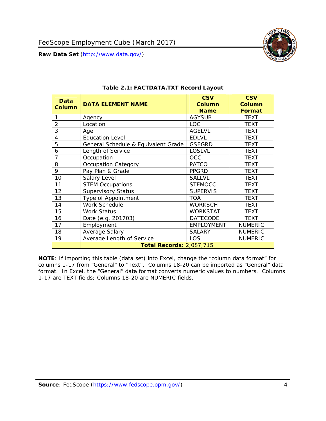

<span id="page-4-1"></span><span id="page-4-0"></span>

| <b>Data</b><br><b>Column</b> | <b>DATA ELEMENT NAME</b>            | <b>CSV</b><br><b>Column</b><br><b>Name</b> | <b>CSV</b><br><b>Column</b><br><b>Format</b> |
|------------------------------|-------------------------------------|--------------------------------------------|----------------------------------------------|
| 1                            | Agency                              | <b>AGYSUB</b>                              | <b>TEXT</b>                                  |
| $\overline{2}$               | Location                            | <b>LOC</b>                                 | <b>TEXT</b>                                  |
| 3                            | Age                                 | <b>AGELVL</b>                              | <b>TEXT</b>                                  |
| 4                            | <b>Education Level</b>              | <b>EDLVL</b>                               | <b>TEXT</b>                                  |
| 5                            | General Schedule & Equivalent Grade | <b>GSEGRD</b>                              | <b>TEXT</b>                                  |
| 6                            | Length of Service                   | <b>LOSLVL</b>                              | <b>TEXT</b>                                  |
| 7                            | Occupation                          | <b>OCC</b>                                 | <b>TEXT</b>                                  |
| 8                            | <b>Occupation Category</b>          | <b>PATCO</b>                               | <b>TEXT</b>                                  |
| 9                            | Pay Plan & Grade                    | <b>PPGRD</b>                               | <b>TEXT</b>                                  |
| 10                           | Salary Level                        | <b>SALLVL</b>                              | <b>TEXT</b>                                  |
| 11                           | <b>STEM Occupations</b>             | <b>STEMOCC</b>                             | <b>TEXT</b>                                  |
| 12                           | <b>Supervisory Status</b>           | <b>SUPERVIS</b>                            | <b>TEXT</b>                                  |
| 13                           | Type of Appointment                 | <b>TOA</b>                                 | <b>TEXT</b>                                  |
| 14                           | Work Schedule                       | <b>WORKSCH</b>                             | <b>TEXT</b>                                  |
| 15                           | <b>Work Status</b>                  | WORKSTAT                                   | TEXT                                         |
| 16                           | Date (e.g. 201703)                  | <b>DATECODE</b>                            | <b>TEXT</b>                                  |
| 17                           | Employment                          | <b>EMPLOYMENT</b>                          | <b>NUMERIC</b>                               |
| 18                           | Average Salary                      | <b>SALARY</b>                              | <b>NUMERIC</b>                               |
| 19                           | Average Length of Service           | LOS                                        | <b>NUMERIC</b>                               |
|                              | <b>Total Records: 2,087,715</b>     |                                            |                                              |

#### **Table 2.1: FACTDATA.TXT Record Layout**

**NOTE**: If importing this table (data set) into Excel, change the "column data format" for columns 1-17 from "General" to "Text". Columns 18-20 can be imported as "General" data format. In Excel, the "General" data format converts numeric values to numbers. Columns 1-17 are TEXT fields; Columns 18-20 are NUMERIC fields.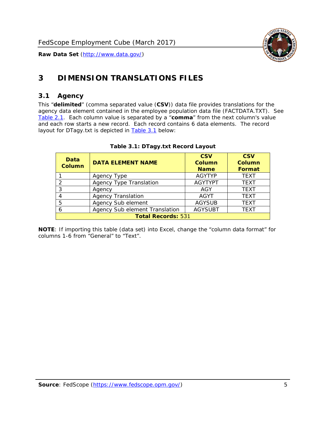

# <span id="page-5-0"></span>**3 DIMENSION TRANSLATIONS FILES**

#### <span id="page-5-1"></span>*3.1 Agency*

<span id="page-5-3"></span><span id="page-5-2"></span>This "**delimited**" (comma separated value (**CSV**)) data file provides translations for the agency data element contained in the employee population data file (FACTDATA.TXT). See [Table 2.1.](#page-4-1) Each column value is separated by a "**comma**" from the next column's value and each row starts a new record. Each record contains 6 data elements. The record layout for DTagy.txt is depicted in **Table 3.1** below:

| Data<br><b>Column</b>     | <b>DATA ELEMENT NAME</b>       | <b>CSV</b><br><b>Column</b><br><b>Name</b> | <b>CSV</b><br>Column<br><b>Format</b> |
|---------------------------|--------------------------------|--------------------------------------------|---------------------------------------|
|                           | Agency Type                    | <b>AGYTYP</b>                              | <b>TEXT</b>                           |
| 2                         | <b>Agency Type Translation</b> | <b>AGYTYPT</b>                             | <b>TEXT</b>                           |
| 3                         | Agency                         | AGY                                        | <b>TEXT</b>                           |
|                           | <b>Agency Translation</b>      | <b>AGYT</b>                                | <b>TEXT</b>                           |
| -5                        | Agency Sub element             | <b>AGYSUB</b>                              | <b>TEXT</b>                           |
|                           | Agency Sub element Translation | <b>AGYSUBT</b>                             | <b>TEXT</b>                           |
| <b>Total Records: 531</b> |                                |                                            |                                       |

#### **Table 3.1: DTagy.txt Record Layout**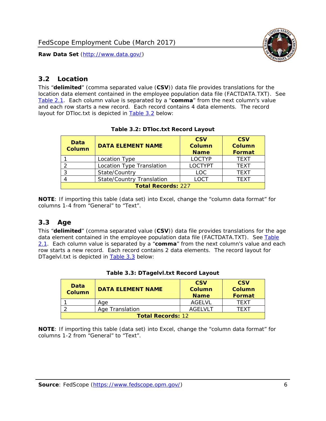

## <span id="page-6-0"></span>*3.2 Location*

<span id="page-6-4"></span><span id="page-6-2"></span>This "**delimited**" (comma separated value (**CSV**)) data file provides translations for the location data element contained in the employee population data file (FACTDATA.TXT). See [Table 2.1.](#page-4-1) Each column value is separated by a "**comma**" from the next column's value and each row starts a new record. Each record contains 4 data elements. The record layout for DTloc.txt is depicted in [Table 3.2](#page-6-4) below:

| Data<br><b>Column</b>     | <b>DATA ELEMENT NAME</b>         | <b>CSV</b><br><b>Column</b><br><b>Name</b> | <b>CSV</b><br><b>Column</b><br><b>Format</b> |
|---------------------------|----------------------------------|--------------------------------------------|----------------------------------------------|
|                           | Location Type                    | <b>LOCTYP</b>                              | <b>TEXT</b>                                  |
|                           | Location Type Translation        | <b>LOCTYPT</b>                             | <b>TEXT</b>                                  |
|                           | State/Country                    | <b>LOC</b>                                 | <b>TEXT</b>                                  |
|                           | <b>State/Country Translation</b> | LOCT                                       | <b>TFXT</b>                                  |
| <b>Total Records: 227</b> |                                  |                                            |                                              |

#### **Table 3.2: DTloc.txt Record Layout**

**NOTE**: If importing this table (data set) into Excel, change the "column data format" for columns 1-4 from "General" to "Text".

#### <span id="page-6-1"></span>*3.3 Age*

<span id="page-6-5"></span><span id="page-6-3"></span>This "**delimited**" (comma separated value (**CSV**)) data file provides translations for the age data element contained in the employee population data file (FACTDATA.TXT). See [Table](#page-4-1) [2.1](#page-4-1). Each column value is separated by a "**comma**" from the next column's value and each row starts a new record. Each record contains 2 data elements. The record layout for DTagelvl.txt is depicted in **[Table 3.3](#page-6-5)** below:

| Data<br><b>Column</b>    | <b>DATA ELEMENT NAME</b> | <b>CSV</b><br>Column<br><b>Name</b> | <b>CSV</b><br>Column<br>Format |
|--------------------------|--------------------------|-------------------------------------|--------------------------------|
|                          | Aae                      | AGFI VI                             | TFXT                           |
|                          | Age Translation          | AGFI VI T                           | TFXT                           |
| <b>Total Records: 12</b> |                          |                                     |                                |

#### **Table 3.3: DTagelvl.txt Record Layout**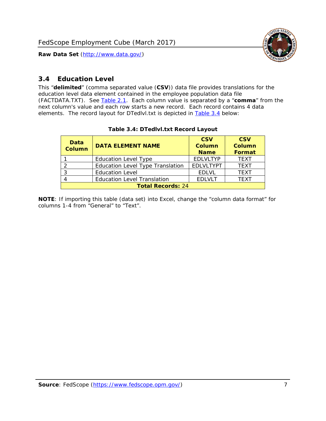

## <span id="page-7-0"></span>*3.4 Education Level*

<span id="page-7-2"></span><span id="page-7-1"></span>This "**delimited**" (comma separated value (**CSV**)) data file provides translations for the education level data element contained in the employee population data file (FACTDATA.TXT). See [Table 2.1](#page-4-1). Each column value is separated by a "**comma**" from the next column's value and each row starts a new record. Each record contains 4 data elements. The record layout for DTedlvl.txt is depicted in [Table 3.4](#page-7-2) below:

| Data<br><b>Column</b>    | <b>DATA ELEMENT NAME</b>                | <b>CSV</b><br><b>Column</b><br><b>Name</b> | <b>CSV</b><br><b>Column</b><br><b>Format</b> |
|--------------------------|-----------------------------------------|--------------------------------------------|----------------------------------------------|
|                          | <b>Education Level Type</b>             | <b>EDLVLTYP</b>                            | <b>TEXT</b>                                  |
|                          | <b>Education Level Type Translation</b> | <b>EDLVLTYPT</b>                           | <b>TEXT</b>                                  |
|                          | <b>Education Level</b>                  | <b>EDLVL</b>                               | <b>TEXT</b>                                  |
|                          | <b>Education Level Translation</b>      | <b>EDLVLT</b>                              | <b>TEXT</b>                                  |
| <b>Total Records: 24</b> |                                         |                                            |                                              |

#### **Table 3.4: DTedlvl.txt Record Layout**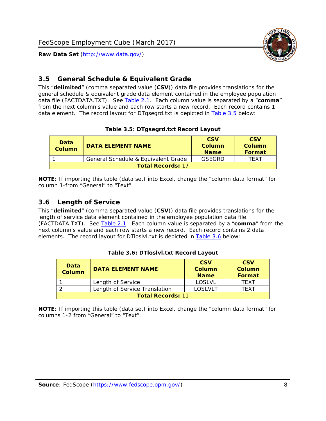

## <span id="page-8-0"></span>*3.5 General Schedule & Equivalent Grade*

This "**delimited**" (comma separated value (**CSV**)) data file provides translations for the general schedule & equivalent grade data element contained in the employee population data file (FACTDATA.TXT). See [Table 2.1](#page-4-1). Each column value is separated by a "**comma**" from the next column's value and each row starts a new record. Each record contains 1 data element. The record layout for DTgsegrd.txt is depicted in [Table 3.5](#page-8-4) below:

#### **Table 3.5: DTgsegrd.txt Record Layout**

<span id="page-8-4"></span><span id="page-8-2"></span>

| Data<br>Column           | DATA FI FMFNT NAMF                  | <b>CSV</b><br>Column<br><b>Name</b> | <b>CSV</b><br>Column<br>Format |
|--------------------------|-------------------------------------|-------------------------------------|--------------------------------|
|                          | General Schedule & Equivalent Grade | GSEGRD                              | TFXT                           |
| <b>Total Records: 17</b> |                                     |                                     |                                |

**NOTE**: If importing this table (data set) into Excel, change the "column data format" for column 1-from "General" to "Text".

#### <span id="page-8-1"></span>*3.6 Length of Service*

<span id="page-8-5"></span>This "**delimited**" (comma separated value (**CSV**)) data file provides translations for the length of service data element contained in the employee population data file (FACTDATA.TXT). See [Table 2.1](#page-4-1). Each column value is separated by a "**comma**" from the next column's value and each row starts a new record. Each record contains 2 data elements. The record layout for DTloslvl.txt is depicted in [Table 3.6](#page-8-5) below:

<span id="page-8-3"></span>

| Data<br><b>Column</b>    | <b>DATA ELEMENT NAME</b>      | <b>CSV</b><br><b>Column</b><br><b>Name</b> | <b>CSV</b><br>Column<br>Format |  |
|--------------------------|-------------------------------|--------------------------------------------|--------------------------------|--|
|                          | Length of Service             | LOSLVL                                     | TFXT                           |  |
|                          | Length of Service Translation | LOSI VLT                                   | TFXT                           |  |
| <b>Total Records: 11</b> |                               |                                            |                                |  |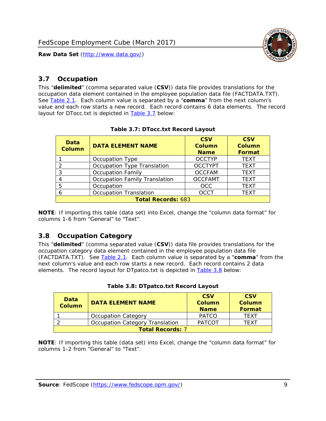

#### <span id="page-9-0"></span>*3.7 Occupation*

<span id="page-9-4"></span>This "**delimited**" (comma separated value (**CSV**)) data file provides translations for the occupation data element contained in the employee population data file (FACTDATA.TXT). See [Table 2.1](#page-4-1). Each column value is separated by a "**comma**" from the next column's value and each row starts a new record. Each record contains 6 data elements. The record layout for DTocc.txt is depicted in [Table 3.7](#page-9-4) below:

<span id="page-9-2"></span>

| Data<br><b>Column</b>     | <b>DATA ELEMENT NAME</b>             | <b>CSV</b><br>Column<br><b>Name</b> | <b>CSV</b><br><b>Column</b><br><b>Format</b> |
|---------------------------|--------------------------------------|-------------------------------------|----------------------------------------------|
|                           | Occupation Type                      | <b>OCCTYP</b>                       | <b>TEXT</b>                                  |
|                           | Occupation Type Translation          | <b>OCCTYPT</b>                      | <b>TEXT</b>                                  |
| 3                         | <b>Occupation Family</b>             | <b>OCCFAM</b>                       | <b>TEXT</b>                                  |
|                           | <b>Occupation Family Translation</b> | <b>OCCFAMT</b>                      | <b>TEXT</b>                                  |
| 5                         | Occupation                           | <b>OCC</b>                          | <b>TEXT</b>                                  |
|                           | <b>Occupation Translation</b>        | <b>OCCT</b>                         | <b>TEXT</b>                                  |
| <b>Total Records: 683</b> |                                      |                                     |                                              |

#### **Table 3.7: DTocc.txt Record Layout**

**NOTE**: If importing this table (data set) into Excel, change the "column data format" for columns 1-6 from "General" to "Text".

#### <span id="page-9-1"></span>*3.8 Occupation Category*

<span id="page-9-5"></span>This "**delimited**" (comma separated value (**CSV**)) data file provides translations for the occupation category data element contained in the employee population data file (FACTDATA.TXT). See [Table 2.1](#page-4-1). Each column value is separated by a "**comma**" from the next column's value and each row starts a new record. Each record contains 2 data elements. The record layout for DTpatco.txt is depicted in [Table 3.8](#page-9-5) below:

<span id="page-9-3"></span>

| Data<br><b>Column</b>   | <b>DATA ELEMENT NAME</b>        | <b>CSV</b><br>Column<br><b>Name</b> | <b>CSV</b><br>Column<br>Format |  |
|-------------------------|---------------------------------|-------------------------------------|--------------------------------|--|
|                         | <b>Occupation Category</b>      | <b>PATCO</b>                        | <b>TFXT</b>                    |  |
|                         | Occupation Category Translation | <b>PATCOT</b>                       | TFXT                           |  |
| <b>Total Records: 7</b> |                                 |                                     |                                |  |

| Table 3.8: DTpatco.txt Record Layout |  |
|--------------------------------------|--|
|--------------------------------------|--|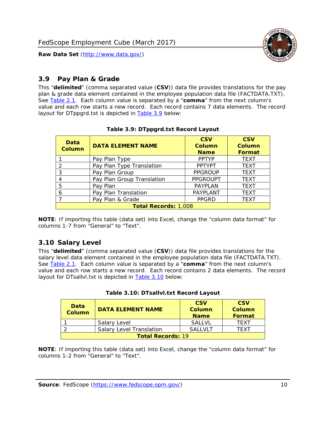

## <span id="page-10-0"></span>*3.9 Pay Plan & Grade*

<span id="page-10-4"></span>This "**delimited**" (comma separated value (**CSV**)) data file provides translations for the pay plan & grade data element contained in the employee population data file (FACTDATA.TXT). See [Table 2.1](#page-4-1). Each column value is separated by a "**comma**" from the next column's value and each row starts a new record. Each record contains 7 data elements. The record layout for DTppgrd.txt is depicted in **Table 3.9** below:

<span id="page-10-2"></span>

| Data<br><b>Column</b>       | <b>DATA ELEMENT NAME</b>   | <b>CSV</b><br>Column<br><b>Name</b> | <b>CSV</b><br>Column<br><b>Format</b> |  |
|-----------------------------|----------------------------|-------------------------------------|---------------------------------------|--|
|                             | Pay Plan Type              | <b>PPTYP</b>                        | <b>TEXT</b>                           |  |
| $\mathcal{P}$               | Pay Plan Type Translation  | <b>PPTYPT</b>                       | <b>TEXT</b>                           |  |
| 3                           | Pay Plan Group             | <b>PPGROUP</b>                      | <b>TEXT</b>                           |  |
|                             | Pay Plan Group Translation | <b>PPGROUPT</b>                     | <b>TEXT</b>                           |  |
| 5                           | Pay Plan                   | <b>PAYPLAN</b>                      | <b>TEXT</b>                           |  |
| 6                           | Pay Plan Translation       | <b>PAYPLANT</b>                     | <b>TEXT</b>                           |  |
|                             | Pay Plan & Grade           | <b>PPGRD</b>                        | <b>TEXT</b>                           |  |
| <b>Total Records: 1,008</b> |                            |                                     |                                       |  |

#### **Table 3.9: DTppgrd.txt Record Layout**

**NOTE**: If importing this table (data set) into Excel, change the "column data format" for columns 1-7 from "General" to "Text".

# <span id="page-10-1"></span>*3.10 Salary Level*

<span id="page-10-5"></span><span id="page-10-3"></span>This "**delimited**" (comma separated value (**CSV**)) data file provides translations for the salary level data element contained in the employee population data file (FACTDATA.TXT). See [Table 2.1](#page-4-1). Each column value is separated by a "**comma**" from the next column's value and each row starts a new record. Each record contains 2 data elements. The record layout for DTsallvl.txt is depicted in [Table 3.10](#page-10-5) below:

| <b>Data</b><br>Column    | <b>DATA ELEMENT NAME</b>        | <b>CSV</b><br>Column<br><b>Name</b> | <b>CSV</b><br>Column<br><b>Format</b> |
|--------------------------|---------------------------------|-------------------------------------|---------------------------------------|
|                          | Salary Level                    | <b>SALLVL</b>                       | TFXT                                  |
|                          | <b>Salary Level Translation</b> | SAI I VI T                          | TEXT                                  |
| <b>Total Records: 19</b> |                                 |                                     |                                       |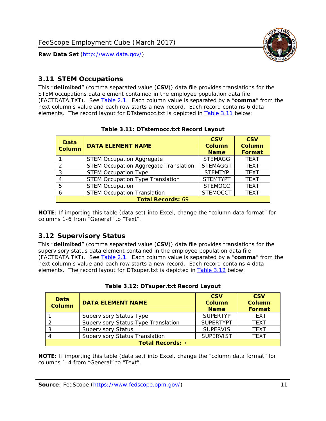

#### <span id="page-11-0"></span>*3.11 STEM Occupations*

<span id="page-11-4"></span>This "**delimited**" (comma separated value (**CSV**)) data file provides translations for the STEM occupations data element contained in the employee population data file (FACTDATA.TXT). See [Table 2.1](#page-4-1). Each column value is separated by a "**comma**" from the next column's value and each row starts a new record. Each record contains 6 data elements. The record layout for DTstemocc.txt is depicted in [Table 3.11](#page-11-4) below:

<span id="page-11-2"></span>

| <b>Data</b><br><b>Column</b> | <b>DATA ELEMENT NAME</b>                     | <b>CSV</b><br><b>Column</b><br><b>Name</b> | <b>CSV</b><br><b>Column</b><br>Format |  |
|------------------------------|----------------------------------------------|--------------------------------------------|---------------------------------------|--|
|                              | <b>STEM Occupation Aggregate</b>             | <b>STEMAGG</b>                             | <b>TEXT</b>                           |  |
|                              | <b>STEM Occupation Aggregate Translation</b> | <b>STEMAGGT</b>                            | <b>TEXT</b>                           |  |
| 3                            | <b>STEM Occupation Type</b>                  | <b>STEMTYP</b>                             | <b>TFXT</b>                           |  |
|                              | <b>STEM Occupation Type Translation</b>      | <b>STEMTYPT</b>                            | <b>TEXT</b>                           |  |
| 5                            | <b>STEM Occupation</b>                       | <b>STEMOCC</b>                             | <b>TEXT</b>                           |  |
|                              | <b>STEM Occupation Translation</b>           | <b>STEMOCCT</b>                            | <b>TEXT</b>                           |  |
| <b>Total Records: 69</b>     |                                              |                                            |                                       |  |

#### **Table 3.11: DTstemocc.txt Record Layout**

**NOTE**: If importing this table (data set) into Excel, change the "column data format" for columns 1-6 from "General" to "Text".

# <span id="page-11-1"></span>*3.12 Supervisory Status*

This "**delimited**" (comma separated value (**CSV**)) data file provides translations for the supervisory status data element contained in the employee population data file (FACTDATA.TXT). See [Table 2.1](#page-4-1). Each column value is separated by a "**comma**" from the next column's value and each row starts a new record. Each record contains 4 data elements. The record layout for DTsuper.txt is depicted in [Table 3.12](#page-11-5) below:

<span id="page-11-5"></span><span id="page-11-3"></span>

| Data<br><b>Column</b>   | <b>DATA ELEMENT NAME</b>              | <b>CSV</b><br>Column<br><b>Name</b> | <b>CSV</b><br><b>Column</b><br>Format |  |
|-------------------------|---------------------------------------|-------------------------------------|---------------------------------------|--|
|                         | <b>Supervisory Status Type</b>        | <b>SUPERTYP</b>                     | <b>TEXT</b>                           |  |
|                         | Supervisory Status Type Translation   | <b>SUPERTYPT</b>                    | <b>TEXT</b>                           |  |
|                         | <b>Supervisory Status</b>             | <b>SUPERVIS</b>                     | <b>TEXT</b>                           |  |
|                         | <b>Supervisory Status Translation</b> | <b>SUPERVIST</b>                    | <b>TEXT</b>                           |  |
| <b>Total Records: 7</b> |                                       |                                     |                                       |  |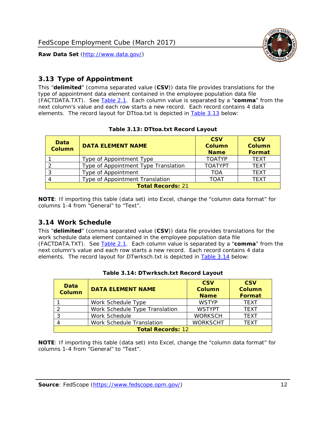

# <span id="page-12-0"></span>*3.13 Type of Appointment*

This "**delimited**" (comma separated value (**CSV**)) data file provides translations for the type of appointment data element contained in the employee population data file (FACTDATA.TXT). See [Table 2.1](#page-4-1). Each column value is separated by a "**comma**" from the next column's value and each row starts a new record. Each record contains 4 data elements. The record layout for DTtoa.txt is depicted in [Table 3.13](#page-12-4) below:

<span id="page-12-4"></span><span id="page-12-2"></span>

| Data<br><b>Column</b>    | <b>DATA ELEMENT NAME</b>             | <b>CSV</b><br><b>Column</b><br><b>Name</b> | <b>CSV</b><br><b>Column</b><br>Format |  |
|--------------------------|--------------------------------------|--------------------------------------------|---------------------------------------|--|
|                          | Type of Appointment Type             | <b>TOATYP</b>                              | <b>TEXT</b>                           |  |
|                          | Type of Appointment Type Translation | <b>TOATYPT</b>                             | <b>TEXT</b>                           |  |
|                          | Type of Appointment                  | TOA                                        | <b>TEXT</b>                           |  |
|                          | Type of Appointment Translation      | TOAT                                       | <b>TFXT</b>                           |  |
| <b>Total Records: 21</b> |                                      |                                            |                                       |  |

#### **Table 3.13: DTtoa.txt Record Layout**

**NOTE**: If importing this table (data set) into Excel, change the "column data format" for columns 1-4 from "General" to "Text".

#### <span id="page-12-1"></span>*3.14 Work Schedule*

<span id="page-12-5"></span>This "**delimited**" (comma separated value (**CSV**)) data file provides translations for the work schedule data element contained in the employee population data file (FACTDATA.TXT). See [Table 2.1](#page-4-1). Each column value is separated by a "**comma**" from the next column's value and each row starts a new record. Each record contains 4 data elements. The record layout for DTwrksch.txt is depicted in [Table 3.14](#page-12-5) below:

<span id="page-12-3"></span>

| Data<br>Column           | <b>DATA ELEMENT NAME</b>       | <b>CSV</b><br><b>Column</b><br><b>Name</b> | <b>CSV</b><br><b>Column</b><br>Format |  |
|--------------------------|--------------------------------|--------------------------------------------|---------------------------------------|--|
|                          | Work Schedule Type             | <b>WSTYP</b>                               | <b>TEXT</b>                           |  |
| 2                        | Work Schedule Type Translation | <b>WSTYPT</b>                              | <b>TFXT</b>                           |  |
| 3                        | Work Schedule                  | <b>WORKSCH</b>                             | <b>TFXT</b>                           |  |
|                          | Work Schedule Translation      | <b>WORKSCHT</b>                            | <b>TFXT</b>                           |  |
| <b>Total Records: 12</b> |                                |                                            |                                       |  |

|  | Table 3.14: DTwrksch.txt Record Layout |  |
|--|----------------------------------------|--|
|  |                                        |  |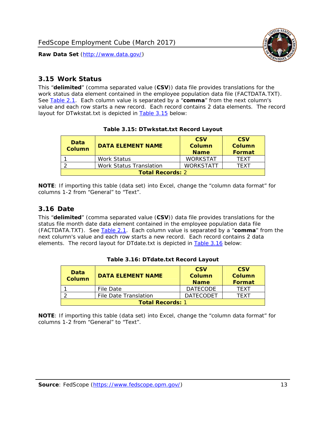

#### <span id="page-13-0"></span>*3.15 Work Status*

<span id="page-13-4"></span><span id="page-13-2"></span>This "**delimited**" (comma separated value (**CSV**)) data file provides translations for the work status data element contained in the employee population data file (FACTDATA.TXT). See [Table 2.1](#page-4-1). Each column value is separated by a "**comma**" from the next column's value and each row starts a new record. Each record contains 2 data elements. The record layout for DTwkstat.txt is depicted in [Table 3.15](#page-13-4) below:

| Data<br><b>Column</b>   | <b>DATA ELEMENT NAME</b> | <b>CSV</b><br>Column<br><b>Name</b> | <b>CSV</b><br>Column<br><b>Format</b> |
|-------------------------|--------------------------|-------------------------------------|---------------------------------------|
|                         | <b>Work Status</b>       | <b>WORKSTAT</b>                     | TFXT                                  |
|                         | Work Status Translation  | <b>WORKSTATT</b>                    | TFXT                                  |
| <b>Total Records: 2</b> |                          |                                     |                                       |

#### **Table 3.15: DTwkstat.txt Record Layout**

**NOTE**: If importing this table (data set) into Excel, change the "column data format" for columns 1-2 from "General" to "Text".

#### <span id="page-13-1"></span>*3.16 Date*

<span id="page-13-5"></span><span id="page-13-3"></span>This "**delimited**" (comma separated value (**CSV**)) data file provides translations for the status file month date data element contained in the employee population data file (FACTDATA.TXT). See [Table 2.1](#page-4-1). Each column value is separated by a "**comma**" from the next column's value and each row starts a new record. Each record contains 2 data elements. The record layout for DTdate.txt is depicted in [Table 3.16](#page-13-5) below:

| Data<br><b>Column</b>   | <b>DATA ELEMENT NAME</b> | <b>CSV</b><br>Column<br><b>Name</b> | <b>CSV</b><br>Column<br><b>Format</b> |
|-------------------------|--------------------------|-------------------------------------|---------------------------------------|
|                         | File Date                | <b>DATECODE</b>                     | TFXT                                  |
|                         | File Date Translation    | <b>DATECODET</b>                    | TFXT                                  |
| <b>Total Records: 1</b> |                          |                                     |                                       |

**Table 3.16: DTdate.txt Record Layout**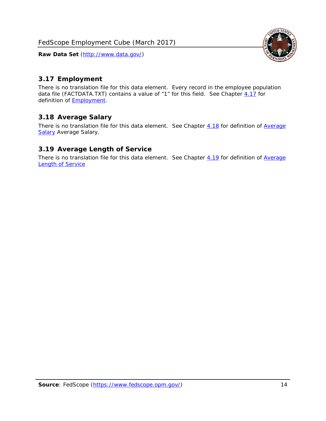<span id="page-14-0"></span>

There is no translation file for this data element. Every record in the employee population data file (FACTDATA.TXT) contains a value of "1" for this field. See Chapter [4.17](#page-16-8) for definition of **Employment**.

#### <span id="page-14-1"></span>*3.18 Average Salary*

There is no translation file for this data element. See Chapter [4.18](#page-17-1) for definition of [Average](#page-17-1) **[Salary](#page-17-1) [Average Salary.](#page-17-1)** 

#### <span id="page-14-2"></span>*3.19 Average Length of Service*

There is no translation file for this data element. See Chapter [4.19](#page-17-2) for definition of [Average](#page-17-2) Length of Service

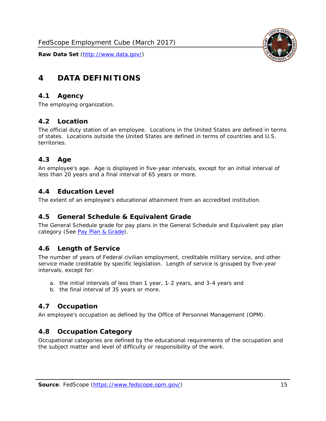

# <span id="page-15-0"></span>**4 DATA DEFINITIONS**

#### <span id="page-15-1"></span>*4.1 Agency*

The employing organization.

#### <span id="page-15-2"></span>*4.2 Location*

The official duty station of an employee. Locations in the United States are defined in terms of states. Locations outside the United States are defined in terms of countries and U.S. territories.

#### <span id="page-15-3"></span>*4.3 Age*

An employee's age. Age is displayed in five-year intervals, except for an initial interval of less than 20 years and a final interval of 65 years or more.

#### <span id="page-15-4"></span>*4.4 Education Level*

The extent of an employee's educational attainment from an accredited institution.

#### <span id="page-15-5"></span>*4.5 General Schedule & Equivalent Grade*

The General Schedule grade for pay plans in the General Schedule and Equivalent pay plan category (See [Pay Plan & Grade](#page-16-0)).

#### <span id="page-15-6"></span>*4.6 Length of Service*

The number of years of Federal civilian employment, creditable military service, and other service made creditable by specific legislation. Length of service is grouped by five-year intervals, except for:

- a. the initial intervals of less than 1 year, 1-2 years, and 3-4 years and
- b. the final interval of 35 years or more.

#### <span id="page-15-7"></span>*4.7 Occupation*

An employee's occupation as defined by the Office of Personnel Management (OPM).

#### <span id="page-15-8"></span>*4.8 Occupation Category*

Occupational categories are defined by the educational requirements of the occupation and the subject matter and level of difficulty or responsibility of the work.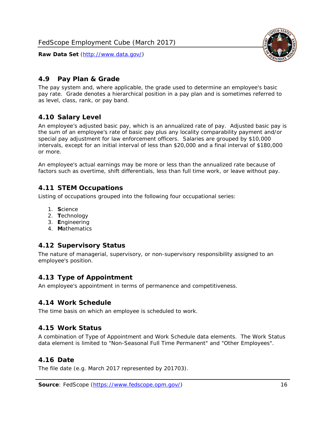

## <span id="page-16-0"></span>*4.9 Pay Plan & Grade*

The pay system and, where applicable, the grade used to determine an employee's basic pay rate. Grade denotes a hierarchical position in a pay plan and is sometimes referred to as level, class, rank, or pay band.

# <span id="page-16-1"></span>*4.10 Salary Level*

An employee's adjusted basic pay, which is an annualized rate of pay. Adjusted basic pay is the sum of an employee's rate of basic pay plus any locality comparability payment and/or special pay adjustment for law enforcement officers. Salaries are grouped by \$10,000 intervals, except for an initial interval of less than \$20,000 and a final interval of \$180,000 or more.

An employee's actual earnings may be more or less than the annualized rate because of factors such as overtime, shift differentials, less than full time work, or leave without pay.

## <span id="page-16-2"></span>*4.11 STEM Occupations*

Listing of occupations grouped into the following four occupational series:

- 1. **S**cience
- 2. **T**echnology
- 3. **E**ngineering
- 4. **M**athematics

#### <span id="page-16-3"></span>*4.12 Supervisory Status*

The nature of managerial, supervisory, or non-supervisory responsibility assigned to an employee's position.

#### <span id="page-16-4"></span>*4.13 Type of Appointment*

An employee's appointment in terms of permanence and competitiveness.

#### <span id="page-16-5"></span>*4.14 Work Schedule*

The time basis on which an employee is scheduled to work.

#### <span id="page-16-6"></span>*4.15 Work Status*

A combination of Type of Appointment and Work Schedule data elements. The Work Status data element is limited to "Non-Seasonal Full Time Permanent" and "Other Employees".

#### <span id="page-16-7"></span>*4.16 Date*

<span id="page-16-8"></span>The file date (e.g. March 2017 represented by 201703).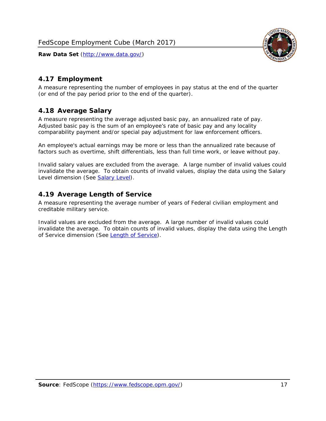

# <span id="page-17-0"></span>*4.17 Employment*

A measure representing the number of employees in pay status at the end of the quarter (or end of the pay period prior to the end of the quarter).

## <span id="page-17-1"></span>*4.18 Average Salary*

A measure representing the average adjusted basic pay, an annualized rate of pay. Adjusted basic pay is the sum of an employee's rate of basic pay and any locality comparability payment and/or special pay adjustment for law enforcement officers.

An employee's actual earnings may be more or less than the annualized rate because of factors such as overtime, shift differentials, less than full time work, or leave without pay.

Invalid salary values are excluded from the average. A large number of invalid values could invalidate the average. To obtain counts of invalid values, display the data using the Salary Level dimension (See [Salary Level\)](#page-16-1).

## <span id="page-17-2"></span>*4.19 Average Length of Service*

A measure representing the average number of years of Federal civilian employment and creditable military service.

Invalid values are excluded from the average. A large number of invalid values could invalidate the average. To obtain counts of invalid values, display the data using the Length of Service dimension (See [Length of Service](#page-15-6)).